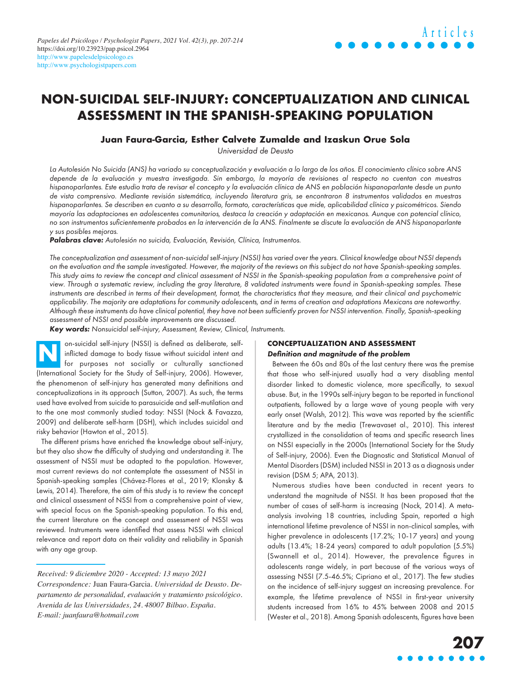# **NON-SUICIDAL SELF-INJURY: CONCEPTUALIZATION AND CLINICAL ASSESSMENT IN THE SPANISH-SPEAKING POPULATION**

# **Juan Faura-Garcia, Esther Calvete Zumalde and Izaskun Orue Sola**

Universidad de Deusto

La Autolesión No Suicida (ANS) ha variado su conceptualización y evaluación a lo largo de los años. El conocimiento clínico sobre ANS depende de la evaluación y muestra investigada. Sin embargo, la mayoría de revisiones al respecto no cuentan con muestras hispanoparlantes. Este estudio trata de revisar el concepto y la evaluación clínica de ANS en población hispanoparlante desde un punto de vista comprensivo. Mediante revisión sistemática, incluyendo literatura gris, se encontraron 8 instrumentos validados en muestras hispanoparlantes. Se describen en cuanto a su desarrollo, formato, características que mide, aplicabilidad clínica y psicométricos. Siendo mayoría las adaptaciones en adolescentes comunitarios, destaca la creación y adaptación en mexicanos. Aunque con potencial clínico, no son instrumentos suficientemente probados en la intervención de la ANS. Finalmente se discute la evaluación de ANS hispanoparlante y sus posibles mejoras.

Palabras clave: Autolesión no suicida, Evaluación, Revisión, Clínica, Instrumentos.

The conceptualization and assessment of non-suicidal self-injury (NSSI) has varied over the years. Clinical knowledge about NSSI depends on the evaluation and the sample investigated. However, the majority of the reviews on this subject do not have Spanish-speaking samples. This study aims to review the concept and clinical assessment of NSSI in the Spanish-speaking population from a comprehensive point of view. Through a systematic review, including the gray literature, 8 validated instruments were found in Spanish-speaking samples. These instruments are described in terms of their development, format, the characteristics that they measure, and their clinical and psychometric applicability. The majority are adaptations for community adolescents, and in terms of creation and adaptations Mexicans are noteworthy. Although these instruments do have clinical potential, they have not been sufficiently proven for NSSI intervention. Finally, Spanish-speaking assessment of NSSI and possible improvements are discussed.

Key words: Nonsuicidal self-injury, Assessment, Review, Clinical, Instruments.

on-suicidal self-injury (NSSI) is defined as deliberate, selfinflicted damage to body tissue without suicidal intent and for purposes not socially or culturally sanctioned (International Society for the Study of Self-injury, 2006). However, the phenomenon of self-injury has generated many definitions and conceptualizations in its approach (Sutton, 2007). As such, the terms used have evolved from suicide to parasuicide and self-mutilation and to the one most commonly studied today: NSSI (Nock & Favazza, 2009) and deliberate self-harm (DSH), which includes suicidal and risky behavior (Hawton et al., 2015). **N**

The different prisms have enriched the knowledge about self-injury, but they also show the difficulty of studying and understanding it. The assessment of NSSI must be adapted to the population. However, most current reviews do not contemplate the assessment of NSSI in Spanish-speaking samples (Chávez-Flores et al., 2019; Klonsky & Lewis, 2014). Therefore, the aim of this study is to review the concept and clinical assessment of NSSI from a comprehensive point of view, with special focus on the Spanish-speaking population. To this end, the current literature on the concept and assessment of NSSI was reviewed. Instruments were identified that assess NSSI with clinical relevance and report data on their validity and reliability in Spanish with any age group.

#### **CONCEPTUALIZATION AND ASSESSMENT**  Definition and magnitude of the problem

Between the 60s and 80s of the last century there was the premise that those who self-injured usually had a very disabling mental disorder linked to domestic violence, more specifically, to sexual abuse. But, in the 1990s self-injury began to be reported in functional outpatients, followed by a large wave of young people with very early onset (Walsh, 2012). This wave was reported by the scientific literature and by the media (Trewavaset al., 2010). This interest crystallized in the consolidation of teams and specific research lines on NSSI especially in the 2000s (International Society for the Study of Self-injury, 2006). Even the Diagnostic and Statistical Manual of Mental Disorders (DSM) included NSSI in 2013 as a diagnosis under revision (DSM 5; APA, 2013).

Numerous studies have been conducted in recent years to understand the magnitude of NSSI. It has been proposed that the number of cases of self-harm is increasing (Nock, 2014). A metaanalysis involving 18 countries, including Spain, reported a high international lifetime prevalence of NSSI in non-clinical samples, with higher prevalence in adolescents (17.2%; 10-17 years) and young adults (13.4%; 18-24 years) compared to adult population (5.5%) (Swannell et al., 2014). However, the prevalence figures in adolescents range widely, in part because of the various ways of assessing NSSI (7.5-46.5%; Cipriano et al., 2017). The few studies on the incidence of self-injury suggest an increasing prevalence. For example, the lifetime prevalence of NSSI in first-year university students increased from 16% to 45% between 2008 and 2015 (Wester et al., 2018). Among Spanish adolescents, figures have been

**Articles**

*Received: 9 diciembre 2020 - Accepted: 13 mayo 2021 Correspondence:* Juan Faura-Garcia. *Universidad de Deusto. Departamento de personalidad, evaluación y tratamiento psicológico. Avenida de las Universidades, 24. 48007 Bilbao. España. E-mail: [juanfaura@hotmail.com](mailto:juanfaura@hotmail.com)*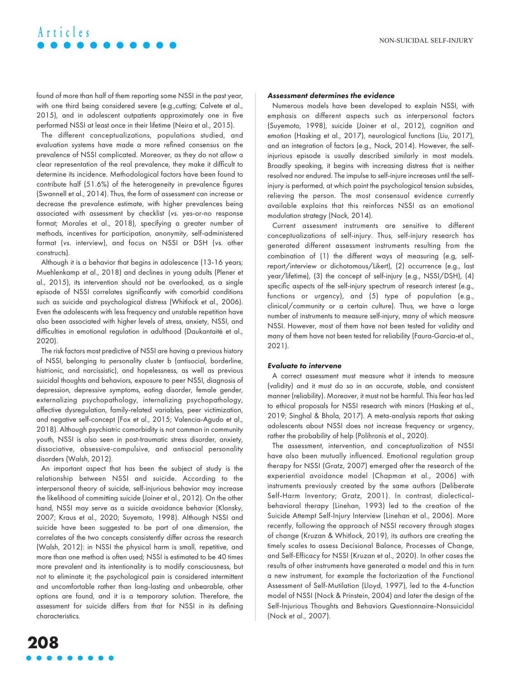found of more than half of them reporting some NSSI in the past year, with one third being considered severe (e.g., cutting; Calvete et al., 2015), and in adolescent outpatients approximately one in five performed NSSI at least once in their lifetime (Neira et al., 2015).

The different conceptualizations, populations studied, and evaluation systems have made a more refined consensus on the prevalence of NSSI complicated. Moreover, as they do not allow a clear representation of the real prevalence, they make it difficult to determine its incidence. Methodological factors have been found to contribute half (51.6%) of the heterogeneity in prevalence figures (Swannell et al., 2014). Thus, the form of assessment can increase or decrease the prevalence estimate, with higher prevalences being associated with assessment by checklist (vs. yes-or-no response format; Morales et al., 2018), specifying a greater number of methods, incentives for participation, anonymity, self-administered format (vs. interview), and focus on NSSI or DSH (vs. other constructs).

Although it is a behavior that begins in adolescence (13-16 years; Muehlenkamp et al., 2018) and declines in young adults (Plener et al., 2015), its intervention should not be overlooked, as a single episode of NSSI correlates significantly with comorbid conditions such as suicide and psychological distress (Whitlock et al., 2006). Even the adolescents with less frequency and unstable repetition have also been associated with higher levels of stress, anxiety, NSSI, and difficulties in emotional regulation in adulthood (Daukantaitė et al., 2020).

The risk factors most predictive of NSSI are having a previous history of NSSI, belonging to personality cluster b (antisocial, borderline, histrionic, and narcissistic), and hopelessness, as well as previous suicidal thoughts and behaviors, exposure to peer NSSI, diagnosis of depression, depressive symptoms, eating disorder, female gender, externalizing psychopathology, internalizing psychopathology, affective dysregulation, family-related variables, peer victimization, and negative self-concept (Fox et al., 2015; Valencia-Agudo et al., 2018). Although psychiatric comorbidity is not common in community youth, NSSI is also seen in post-traumatic stress disorder, anxiety, dissociative, obsessive-compulsive, and antisocial personality disorders (Walsh, 2012).

An important aspect that has been the subject of study is the relationship between NSSI and suicide. According to the interpersonal theory of suicide, self-injurious behavior may increase the likelihood of committing suicide (Joiner et al., 2012). On the other hand, NSSI may serve as a suicide avoidance behavior (Klonsky, 2007; Kraus et al., 2020; Suyemoto, 1998). Although NSSI and suicide have been suggested to be part of one dimension, the correlates of the two concepts consistently differ across the research (Walsh, 2012): in NSSI the physical harm is small, repetitive, and more than one method is often used; NSSI is estimated to be 40 times more prevalent and its intentionality is to modify consciousness, but not to eliminate it; the psychological pain is considered intermittent and uncomfortable rather than long-lasting and unbearable, other options are found, and it is a temporary solution. Therefore, the assessment for suicide differs from that for NSSI in its defining characteristics.

#### Assessment determines the evidence

Numerous models have been developed to explain NSSI, with emphasis on different aspects such as interpersonal factors (Suyemoto, 1998), suicide (Joiner et al., 2012), cognition and emotion (Hasking et al., 2017), neurological functions (Liu, 2017), and an integration of factors (e.g., Nock, 2014). However, the selfinjurious episode is usually described similarly in most models. Broadly speaking, it begins with increasing distress that is neither resolved nor endured. The impulse to self-injure increases until the selfinjury is performed, at which point the psychological tension subsides, relieving the person. The most consensual evidence currently available explains that this reinforces NSSI as an emotional modulation strategy (Nock, 2014).

Current assessment instruments are sensitive to different conceptualizations of self-injury. Thus, self-injury research has generated different assessment instruments resulting from the combination of (1) the different ways of measuring (e.g, selfreport/interview or dichotomous/Likert), (2) occurrence (e.g., last year/lifetime), (3) the concept of self-injury (e.g., NSSI/DSH), (4) specific aspects of the self-injury spectrum of research interest (e.g., functions or urgency), and (5) type of population (e.g., clinical/community or a certain culture). Thus, we have a large number of instruments to measure self-injury, many of which measure NSSI. However, most of them have not been tested for validity and many of them have not been tested for reliability (Faura-Garcia‐et al., 2021).

#### Evaluate to intervene

A correct assessment must measure what it intends to measure (validity) and it must do so in an accurate, stable, and consistent manner (reliability). Moreover, it must not be harmful. This fear has led to ethical proposals for NSSI research with minors (Hasking et al., 2019; Singhal & Bhola, 2017). A meta-analysis reports that asking adolescents about NSSI does not increase frequency or urgency, rather the probability of help (Polihronis et al., 2020).

The assessment, intervention, and conceptualization of NSSI have also been mutually influenced. Emotional regulation group therapy for NSSI (Gratz, 2007) emerged after the research of the experiential avoidance model (Chapman et al., 2006) with instruments previously created by the same authors (Deliberate Self-Harm Inventory; Gratz, 2001). In contrast, dialecticalbehavioral therapy (Linehan, 1993) led to the creation of the Suicide Attempt Self-Injury Interview (Linehan et al., 2006). More recently, following the approach of NSSI recovery through stages of change (Kruzan & Whitlock, 2019), its authors are creating the timely scales to assess Decisional Balance, Processes of Change, and Self-Efficacy for NSSI (Kruzan et al., 2020). In other cases the results of other instruments have generated a model and this in turn a new instrument, for example the factorization of the Functional Assessment of Self-Mutilation (Lloyd, 1997), led to the 4-function model of NSSI (Nock & Prinstein, 2004) and later the design of the Self-Injurious Thoughts and Behaviors Questionnaire-Nonsuicidal (Nock et al., 2007).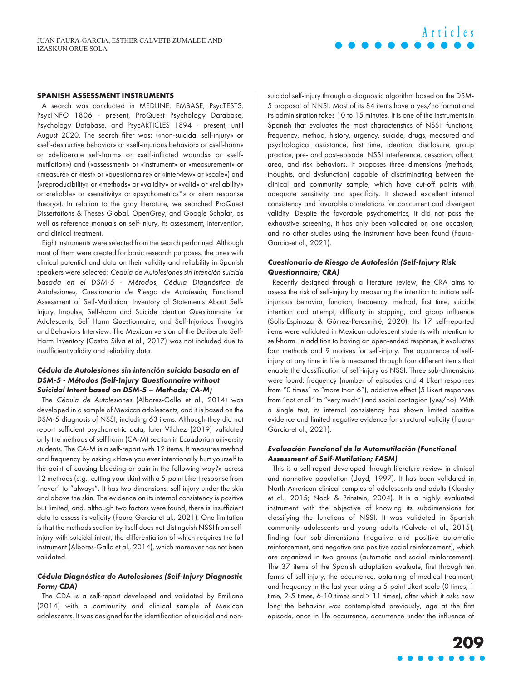#### **SPANISH ASSESSMENT INSTRUMENTS**

A search was conducted in MEDLINE, EMBASE, PsycTESTS, PsycINFO 1806 - present, ProQuest Psychology Database, Psychology Database, and PsycARTICLES 1894 - present, until August 2020. The search filter was: («non-suicidal self-injury» or «self-destructive behavior» or «self-injurious behavior» or «self-harm» or «deliberate self-harm» or «self-inflicted wounds» or «selfmutilation») and («assessment» or «instrument» or «measurement» or «measure» or «test» or «questionnaire» or «interview» or «scale») and («reproducibility» or «methods» or «validity» or «valid» or «reliability» or «reliable» or «sensitivity» or «psychometrics\*» or «item response theory»). In relation to the gray literature, we searched ProQuest Dissertations & Theses Global, OpenGrey, and Google Scholar, as well as reference manuals on self-injury, its assessment, intervention, and clinical treatment.

Eight instruments were selected from the search performed. Although most of them were created for basic research purposes, the ones with clinical potential and data on their validity and reliability in Spanish speakers were selected: Cédula de Autolesiones sin intención suicida basada en el DSM-5 - Métodos, Cédula Diagnóstica de Autolesiones, Cuestionario de Riesgo de Autolesión, Functional Assessment of Self-Mutilation, Inventory of Statements About Self-Injury, Impulse, Self-harm and Suicide Ideation Questionnaire for Adolescents, Self Harm Questionnaire, and Self-Injurious Thoughts and Behaviors Interview. The Mexican version of the Deliberate Self-Harm Inventory (Castro Silva et al., 2017) was not included due to insufficient validity and reliability data.

### Cédula de Autolesiones sin intención suicida basada en el DSM-5 - Métodos (Self-Injury Questionnaire without Suicidal Intent based on DSM-5 – Methods; CA-M)

The Cédula de Autolesiones (Albores-Gallo et al., 2014) was developed in a sample of Mexican adolescents, and it is based on the DSM-5 diagnosis of NSSI, including 63 items. Although they did not report sufficient psychometric data, later Vilchez (2019) validated only the methods of self harm (CA-M) section in Ecuadorian university students. The CA-M is a self-report with 12 items. It measures method and frequency by asking «Have you ever intentionally hurt yourself to the point of causing bleeding or pain in the following way?» across 12 methods (e.g., cutting your skin) with a 5-point Likert response from "never" to "always". It has two dimensions: self-injury under the skin and above the skin. The evidence on its internal consistency is positive but limited, and, although two factors were found, there is insufficient data to assess its validity (Faura-Garcia‐et al., 2021). One limitation is that the methods section by itself does not distinguish NSSI from selfinjury with suicidal intent, the differentiation of which requires the full instrument (Albores-Gallo et al., 2014), which moreover has not been validated.

### Cédula Diagnóstica de Autolesiones (Self-Injury Diagnostic Form; CDA)

The CDA is a self-report developed and validated by Emiliano (2014) with a community and clinical sample of Mexican adolescents. It was designed for the identification of suicidal and nonsuicidal self-injury through a diagnostic algorithm based on the DSM-5 proposal of NNSI. Most of its 84 items have a yes/no format and its administration takes 10 to 15 minutes. It is one of the instruments in Spanish that evaluates the most characteristics of NSSI: functions, frequency, method, history, urgency, suicide, drugs, measured and psychological assistance, first time, ideation, disclosure, group practice, pre- and post-episode, NSSI interference, cessation, affect, area, and risk behaviors. It proposes three dimensions (methods, thoughts, and dysfunction) capable of discriminating between the clinical and community sample, which have cut-off points with adequate sensitivity and specificity. It showed excellent internal consistency and favorable correlations for concurrent and divergent validity. Despite the favorable psychometrics, it did not pass the exhaustive screening, it has only been validated on one occasion, and no other studies using the instrument have been found (Faura-Garcia‐et al., 2021).

**Articles**

# Cuestionario de Riesgo de Autolesión (Self-Injury Risk Questionnaire; CRA)

Recently designed through a literature review, the CRA aims to assess the risk of self-injury by measuring the intention to initiate selfinjurious behavior, function, frequency, method, first time, suicide intention and attempt, difficulty in stopping, and group influence (Solis-Espinoza & Gómez-Peresmitré, 2020). Its 17 self-reported items were validated in Mexican adolescent students with intention to self-harm. In addition to having an open-ended response, it evaluates four methods and 9 motives for self-injury. The occurrence of selfinjury at any time in life is measured through four different items that enable the classification of self-injury as NSSI. Three sub-dimensions were found: frequency (number of episodes and 4 Likert responses from "0 times" to "more than 6"), addictive effect (5 Likert responses from "not at all" to "very much") and social contagion (yes/no). With a single test, its internal consistency has shown limited positive evidence and limited negative evidence for structural validity (Faura-Garcia‐et al., 2021).

# Evaluación Funcional de la Automutilación (Functional Assessment of Self-Mutilation; FASM)

This is a self-report developed through literature review in clinical and normative population (Lloyd, 1997). It has been validated in North American clinical samples of adolescents and adults (Klonsky et al., 2015; Nock & Prinstein, 2004). It is a highly evaluated instrument with the objective of knowing its subdimensions for classifying the functions of NSSI. It was validated in Spanish community adolescents and young adults (Calvete et al., 2015), finding four sub-dimensions (negative and positive automatic reinforcement, and negative and positive social reinforcement), which are organized in two groups (automatic and social reinforcement). The 37 items of the Spanish adaptation evaluate, first through ten forms of self-injury, the occurrence, obtaining of medical treatment, and frequency in the last year using a 5-point Likert scale (0 times, 1 time, 2-5 times, 6-10 times and > 11 times), after which it asks how long the behavior was contemplated previously, age at the first episode, once in life occurrence, occurrence under the influence of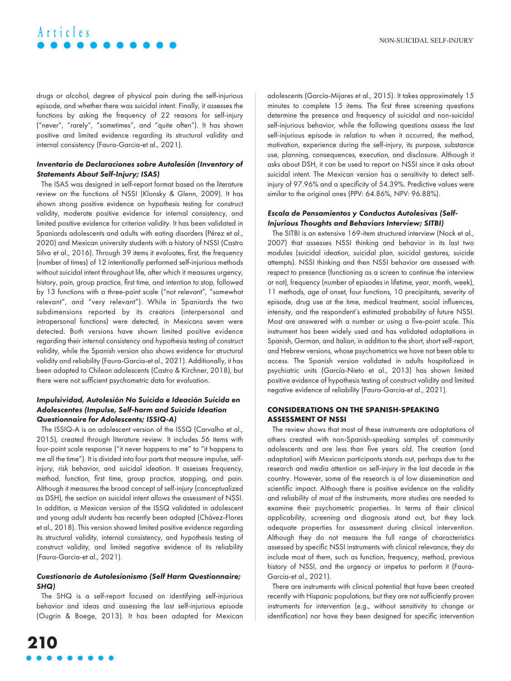drugs or alcohol, degree of physical pain during the self-injurious episode, and whether there was suicidal intent. Finally, it assesses the functions by asking the frequency of 22 reasons for self-injury ("never", "rarely", "sometimes", and "quite often"). It has shown positive and limited evidence regarding its structural validity and internal consistency (Faura-Garcia‐et al., 2021).

## Inventario de Declaraciones sobre Autolesión (Inventory of Statements About Self-Injury; ISAS)

The ISAS was designed in self-report format based on the literature review on the functions of NSSI (Klonsky & Glenn, 2009). It has shown strong positive evidence on hypothesis testing for construct validity, moderate positive evidence for internal consistency, and limited positive evidence for criterion validity. It has been validated in Spaniards adolescents and adults with eating disorders (Pérez et al., 2020) and Mexican university students with a history of NSSI (Castro Silva et al., 2016). Through 39 items it evaluates, first, the frequency (number of times) of 12 intentionally performed self-injurious methods without suicidal intent throughout life, after which it measures urgency, history, pain, group practice, first time, and intention to stop, followed by 13 functions with a three-point scale ("not relevant", "somewhat relevant", and "very relevant"). While in Spaniards the two subdimensions reported by its creators (interpersonal and intrapersonal functions) were detected, in Mexicans seven were detected. Both versions have shown limited positive evidence regarding their internal consistency and hypothesis testing of construct validity, while the Spanish version also shows evidence for structural validity and reliability (Faura-Garcia‐et al., 2021). Additionally, it has been adapted to Chilean adolescents (Castro & Kirchner, 2018), but there were not sufficient psychometric data for evaluation.

# Impulsividad, Autolesión No Suicida e Ideación Suicida en Adolescentes (Impulse, Self-harm and Suicide Ideation Questionnaire for Adolescents; ISSIQ-A)

The ISSIQ-A is an adolescent version of the ISSQ (Carvalho et al., 2015), created through literature review. It includes 56 items with four-point scale response ("it never happens to me" to "it happens to me all the time"). It is divided into four parts that measure impulse, selfinjury, risk behavior, and suicidal ideation. It assesses frequency, method, function, first time, group practice, stopping, and pain. Although it measures the broad concept of self-injury (conceptualized as DSH), the section on suicidal intent allows the assessment of NSSI. In addition, a Mexican version of the ISSQ validated in adolescent and young adult students has recently been adapted (Chávez-Flores et al., 2018). This version showed limited positive evidence regarding its structural validity, internal consistency, and hypothesis testing of construct validity, and limited negative evidence of its reliability (Faura-Garcia‐et al., 2021).

### Cuestionario de Autolesionismo (Self Harm Questionnaire; SHQ)

The SHQ is a self-report focused on identifying self-injurious behavior and ideas and assessing the last self-injurious episode (Ougrin & Boege, 2013). It has been adapted for Mexican adolescents (García-Mijares et al., 2015). It takes approximately 15 minutes to complete 15 items. The first three screening questions determine the presence and frequency of suicidal and non-suicidal self-injurious behavior, while the following questions assess the last self-injurious episode in relation to when it occurred, the method, motivation, experience during the self-injury, its purpose, substance use, planning, consequences, execution, and disclosure. Although it asks about DSH, it can be used to report on NSSI since it asks about suicidal intent. The Mexican version has a sensitivity to detect selfinjury of 97.96% and a specificity of 54.39%. Predictive values were similar to the original ones (PPV: 64.86%, NPV: 96.88%).

### Escala de Pensamientos y Conductas Autolesivas (Self-Injurious Thoughts and Behaviors Interview; SITBI)

The SITBI is an extensive 169-item structured interview (Nock et al., 2007) that assesses NSSI thinking and behavior in its last two modules (suicidal ideation, suicidal plan, suicidal gestures, suicide attempts). NSSI thinking and then NSSI behavior are assessed with respect to presence (functioning as a screen to continue the interview or not), frequency (number of episodes in lifetime, year, month, week), 11 methods, age of onset, four functions, 10 precipitants, severity of episode, drug use at the time, medical treatment, social influences, intensity, and the respondent's estimated probability of future NSSI. Most are answered with a number or using a five-point scale. This instrument has been widely used and has validated adaptations in Spanish, German, and Italian, in addition to the short, short self-report, and Hebrew versions, whose psychometrics we have not been able to access. The Spanish version validated in adults hospitalized in psychiatric units (García-Nieto et al., 2013) has shown limited positive evidence of hypothesis testing of construct validity and limited negative evidence of reliability (Faura-Garcia‐et al., 2021).

# **CONSIDERATIONS ON THE SPANISH-SPEAKING ASSESSMENT OF NSSI**

The review shows that most of these instruments are adaptations of others created with non-Spanish-speaking samples of community adolescents and are less than five years old. The creation (and adaptation) with Mexican participants stands out, perhaps due to the research and media attention on self-injury in the last decade in the country. However, some of the research is of low dissemination and scientific impact. Although there is positive evidence on the validity and reliability of most of the instruments, more studies are needed to examine their psychometric properties. In terms of their clinical applicability, screening and diagnosis stand out, but they lack adequate properties for assessment during clinical intervention. Although they do not measure the full range of characteristics assessed by specific NSSI instruments with clinical relevance, they do include most of them, such as function, frequency, method, previous history of NSSI, and the urgency or impetus to perform it (Faura-Garcia‐et al., 2021).

There are instruments with clinical potential that have been created recently with Hispanic populations, but they are not sufficiently proven instruments for intervention (e.g., without sensitivity to change or identification) nor have they been designed for specific intervention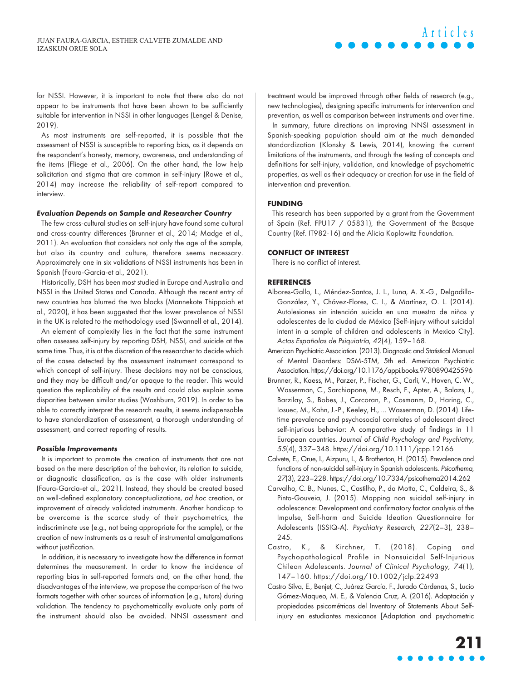for NSSI. However, it is important to note that there also do not appear to be instruments that have been shown to be sufficiently suitable for intervention in NSSI in other languages (Lengel & Denise, 2019).

As most instruments are self-reported, it is possible that the assessment of NSSI is susceptible to reporting bias, as it depends on the respondent's honesty, memory, awareness, and understanding of the items (Fliege et al., 2006). On the other hand, the low help solicitation and stigma that are common in self-injury (Rowe et al., 2014) may increase the reliability of self-report compared to interview.

#### Evaluation Depends on Sample and Researcher Country

The few cross-cultural studies on self-injury have found some cultural and cross-country differences (Brunner et al., 2014; Madge et al., 2011). An evaluation that considers not only the age of the sample, but also its country and culture, therefore seems necessary. Approximately one in six validations of NSSI instruments has been in Spanish (Faura-Garcia‐et al., 2021).

Historically, DSH has been most studied in Europe and Australia and NSSI in the United States and Canada. Although the recent entry of new countries has blurred the two blocks (Mannekote Thippaiah et al., 2020), it has been suggested that the lower prevalence of NSSI in the UK is related to the methodology used (Swannell et al., 2014).

An element of complexity lies in the fact that the same instrument often assesses self-injury by reporting DSH, NSSI, and suicide at the same time. Thus, it is at the discretion of the researcher to decide which of the cases detected by the assessment instrument correspond to which concept of self-injury. These decisions may not be conscious, and they may be difficult and/or opaque to the reader. This would question the replicability of the results and could also explain some disparities between similar studies (Washburn, 2019). In order to be able to correctly interpret the research results, it seems indispensable to have standardization of assessment, a thorough understanding of assessment, and correct reporting of results.

#### Possible Improvements

It is important to promote the creation of instruments that are not based on the mere description of the behavior, its relation to suicide, or diagnostic classification, as is the case with older instruments (Faura-Garcia‐et al., 2021). Instead, they should be created based on well-defined explanatory conceptualizations, ad hoc creation, or improvement of already validated instruments. Another handicap to be overcome is the scarce study of their psychometrics, the indiscriminate use (e.g., not being appropriate for the sample), or the creation of new instruments as a result of instrumental amalgamations without justification.

In addition, it is necessary to investigate how the difference in format determines the measurement. In order to know the incidence of reporting bias in self-reported formats and, on the other hand, the disadvantages of the interview, we propose the comparison of the two formats together with other sources of information (e.g., tutors) during validation. The tendency to psychometrically evaluate only parts of the instrument should also be avoided. NNSI assessment and

treatment would be improved through other fields of research (e.g., new technologies), designing specific instruments for intervention and prevention, as well as comparison between instruments and over time. In summary, future directions on improving NNSI assessment in Spanish-speaking population should aim at the much demanded standardization (Klonsky & Lewis, 2014), knowing the current limitations of the instruments, and through the testing of concepts and definitions for self-injury, validation, and knowledge of psychometric properties, as well as their adequacy or creation for use in the field of intervention and prevention.

#### **FUNDING**

This research has been supported by a grant from the Government of Spain (Ref. FPU17 / 05831), the Government of the Basque Country (Ref. IT982-16) and the Alicia Koplowitz Foundation.

#### **CONFLICT OF INTEREST**

There is no conflict of interest.

#### **REFERENCES**

- Albores-Gallo, L., Méndez-Santos, J. L., Luna, A. X.-G., Delgadillo-González, Y., Chávez-Flores, C. I., & Martínez, O. L. (2014). Autolesiones sin intención suicida en una muestra de niños y adolescentes de la ciudad de México [Self-injury without suicidal intent in a sample of children and adolescents in Mexico City]. Actas Españolas de Psiquiatría, 42(4), 159–168.
- American Psychiatric Association. (2013). Diagnostic and Statistical Manual of Mental Disorders: DSM-5TM, 5th ed. American Psychiatric Association.<https://doi.org/10.1176/appi.books.9780890425596>
- Brunner, R., Kaess, M., Parzer, P., Fischer, G., Carli, V., Hoven, C. W., Wasserman, C., Sarchiapone, M., Resch, F., Apter, A., Balazs, J., Barzilay, S., Bobes, J., Corcoran, P., Cosmanm, D., Haring, C., Iosuec, M., Kahn, J.-P., Keeley, H., … Wasserman, D. (2014). Lifetime prevalence and psychosocial correlates of adolescent direct self-injurious behavior: A comparative study of findings in 11 European countries. Journal of Child Psychology and Psychiatry, 55(4), 337–348.<https://doi.org/10.1111/jcpp.12166>
- Calvete, E., Orue, I., Aizpuru, L., & Brotherton, H. (2015). Prevalence and functions of non-suicidal self-injury in Spanish adolescents. Psicothema, 27(3), 223–228.<https://doi.org/10.7334/psicothema2014.262>
- Carvalho, C. B., Nunes, C., Castilho, P., da Motta, C., Caldeira, S., & Pinto-Gouveia, J. (2015). Mapping non suicidal self-injury in adolescence: Development and confirmatory factor analysis of the Impulse, Self-harm and Suicide Ideation Questionnaire for Adolescents (ISSIQ-A). Psychiatry Research, 227(2–3), 238– 245.
- Castro, K., & Kirchner, T. (2018). Coping and Psychopathological Profile in Nonsuicidal Self-Injurious Chilean Adolescents. Journal of Clinical Psychology, 74(1), 147–160.<https://doi.org/10.1002/jclp.22493>
- Castro Silva, E., Benjet, C., Juárez García, F., Jurado Cárdenas, S., Lucio Gómez-Maqueo, M. E., & Valencia Cruz, A. (2016). Adaptación y propiedades psicométricas del Inventory of Statements About Selfinjury en estudiantes mexicanos [Adaptation and psychometric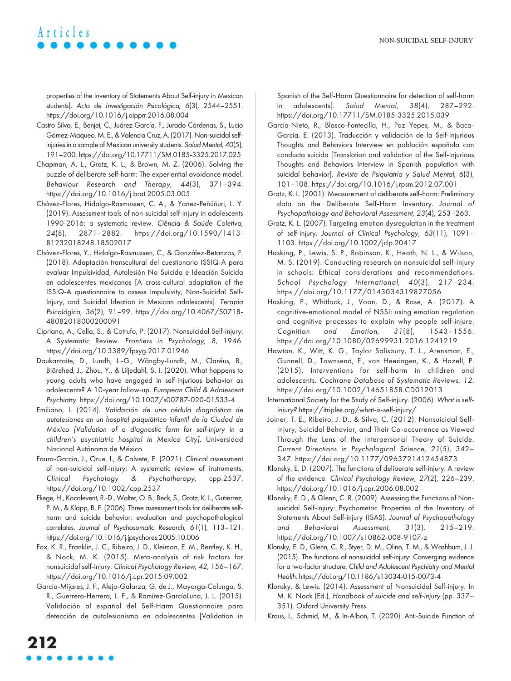properties of the Inventory of Statements About Self-injury in Mexican students]. Acta de Investigación Psicológica, 6(3), 2544–2551. <https://doi.org/10.1016/j.aipprr.2016.08.004>

- Castro Silva, E., Benjet, C., Juárez García, F., Jurado Cárdenas, S., Lucio Gómez-Maqueo, M. E., & Valencia Cruz, A. (2017). Non-suicidal selfinjuries in a sample of Mexican university students. Salud Mental, 40(5), 191–200.<https://doi.org/10.17711/SM.0185-3325.2017.025>
- Chapman, A. L., Gratz, K. L., & Brown, M. Z. (2006). Solving the puzzle of deliberate self-harm: The experiential avoidance model. Behaviour Research and Therapy, 44(3), 371–394. <https://doi.org/10.1016/j.brat.2005.03.005>
- Chávez-Flores, Hidalgo-Rasmussen, C. A., & Yanez-Peñúñuri, L. Y. (2019). Assessment tools of non-suicidal self-injury in adolescents 1990-2016: a systematic review. Ciência & Saúde Coletiva, 24(8), 2871–2882. [https://doi.org/10.1590/1413-](https://doi.org/10.1590/1413-81232018248.18502017) [81232018248.18502017](https://doi.org/10.1590/1413-81232018248.18502017)
- Chávez-Flores, Y., Hidalgo-Rasmussen, C., & González-Betanzos, F. (2018). Adaptación transcultural del cuestionario ISSIQ-A para evaluar Impulsividad, Autolesión No Suicida e Ideación Suicida en adolescentes mexicanos [A cross-cultural adaptation of the ISSIQ-A questionnaire to assess Impulsivity, Non-Suicidal Self-Injury, and Suicidal Ideation in Mexican adolescents]. Terapia Psicológica, 36(2), 91–99. [https://doi.org/10.4067/S0718-](https://doi.org/10.4067/S0718-48082018000200091) [48082018000200091](https://doi.org/10.4067/S0718-48082018000200091)
- Cipriano, A., Cella, S., & Cotrufo, P. (2017). Nonsuicidal Self-injury: A Systematic Review. Frontiers in Psychology, 8, 1946. <https://doi.org/10.3389/fpsyg.2017.01946>
- Daukantaitė, D., Lundh, L.-G., Wångby-Lundh, M., Claréus, B., Bjärehed, J., Zhou, Y., & Liljedahl, S. I. (2020). What happens to young adults who have engaged in self-injurious behavior as adolescents? A 10-year follow-up. European Child & Adolescent Psychiatry.<https://doi.org/10.1007/s00787-020-01533-4>
- Emiliano, I. (2014). Validación de una cédula diagnóstica de autolesiones en un hospital psiquiátrico infantil de la Ciudad de México [Validation of a diagnostic form for self-injury in a children's psychiatric hospital in Mexico City]. Universidad Nacional Autónoma de México.
- Faura‐Garcia, J., Orue, I., & Calvete, E. (2021). Clinical assessment of non‐suicidal self‐injury: A systematic review of instruments. Clinical Psychology & Psychotherapy, cpp.2537. <https://doi.org/10.1002/cpp.2537>
- Fliege, H., Kocalevent, R.-D., Walter, O. B., Beck, S., Gratz, K. L., Gutierrez, P. M., & Klapp, B. F. (2006). Three assessment tools for deliberate selfharm and suicide behavior: evaluation and psychopathological correlates. Journal of Psychosomatic Research, 61(1), 113–121. <https://doi.org/10.1016/j.jpsychores.2005.10.006>
- Fox, K. R., Franklin, J. C., Ribeiro, J. D., Kleiman, E. M., Bentley, K. H., & Nock, M. K. (2015). Meta-analysis of risk factors for nonsuicidal self-injury. Clinical Psychology Review, 42, 156–167. <https://doi.org/10.1016/j.cpr.2015.09.002>
- García-Mijares, J. F., Alejo-Galarza, G. de J., Mayorga-Colunga, S. R., Guerrero-Herrera, L. F., & Ramírez-GarcíaLuna, J. L. (2015). Validación al español del Self-Harm Questionnaire para detección de autolesionismo en adolescentes [Validation in

Spanish of the Self-Harm Questionnaire for detection of self-harm in adolescents]. Salud Mental, 38(4), 287–292. <https://doi.org/10.17711/SM.0185-3325.2015.039>

- García-Nieto, R., Blasco-Fontecilla, H., Paz Yepes, M., & Baca-García, E. (2013). Traducción y validación de la Self-Injurious Thoughts and Behaviors Interview en población española con conducta suicida [Translation and validation of the Self-Injurious Thoughts and Behaviors Interview in Spanish population with suicidal behavior]. Revista de Psiquiatría y Salud Mental, 6(3), 101–108.<https://doi.org/10.1016/j.rpsm.2012.07.001>
- Gratz, K. L. (2001). Measurement of deliberate self-harm: Preliminary data on the Deliberate Self-Harm Inventory. Journal of Psychopathology and Behavioral Assessment, 23(4), 253–263.
- Gratz, K. L. (2007). Targeting emotion dysregulation in the treatment of self-injury. Journal of Clinical Psychology, 63(11), 1091– 1103.<https://doi.org/10.1002/jclp.20417>
- Hasking, P., Lewis, S. P., Robinson, K., Heath, N. L., & Wilson, M. S. (2019). Conducting research on nonsuicidal self-injury in schools: Ethical considerations and recommendations. School Psychology International, 40(3), 217-234. <https://doi.org/10.1177/0143034319827056>
- Hasking, P., Whitlock, J., Voon, D., & Rose, A. (2017). A cognitive-emotional model of NSSI: using emotion regulation and cognitive processes to explain why people self-injure. Cognition and Emotion, 31(8), 1543–1556. <https://doi.org/10.1080/02699931.2016.1241219>
- Hawton, K., Witt, K. G., Taylor Salisbury, T. L., Arensman, E., Gunnell, D., Townsend, E., van Heeringen, K., & Hazell, P. (2015). Interventions for self‐harm in children and adolescents. Cochrane Database of Systematic Reviews, 12. <https://doi.org/10.1002/14651858.CD012013>
- International Society for the Study of Self-injury. (2006). What is selfinjury?<https://itriples.org/what-is-self-injury/>
- Joiner, T. E., Ribeiro, J. D., & Silva, C. (2012). Nonsuicidal Self-Injury, Suicidal Behavior, and Their Co-occurrence as Viewed Through the Lens of the Interpersonal Theory of Suicide. Current Directions in Psychological Science, 21(5), 342– 347.<https://doi.org/10.1177/0963721412454873>
- Klonsky, E. D. (2007). The functions of deliberate self-injury: A review of the evidence. Clinical Psychology Review, 27(2), 226–239. <https://doi.org/10.1016/j.cpr.2006.08.002>
- Klonsky, E. D., & Glenn, C. R. (2009). Assessing the Functions of Nonsuicidal Self-injury: Psychometric Properties of the Inventory of Statements About Self-injury (ISAS). Journal of Psychopathology and Behavioral Assessment, 31(3), 215–219. <https://doi.org/10.1007/s10862-008-9107-z>
- Klonsky, E. D., Glenn, C. R., Styer, D. M., Olino, T. M., & Washburn, J. J. (2015). The functions of nonsuicidal self-injury: Converging evidence for a two-factor structure. Child and Adolescent Psychiatry and Mental Health.<https://doi.org/10.1186/s13034-015-0073-4>
- Klonsky, & Lewis. (2014). Assessment of Nonsuicidal Self-injury. In M. K. Nock (Ed.), Handbook of suicide and self-injury (pp. 337– 351). Oxford University Press.
- Kraus, L., Schmid, M., & In-Albon, T. (2020). Anti-Suicide Function of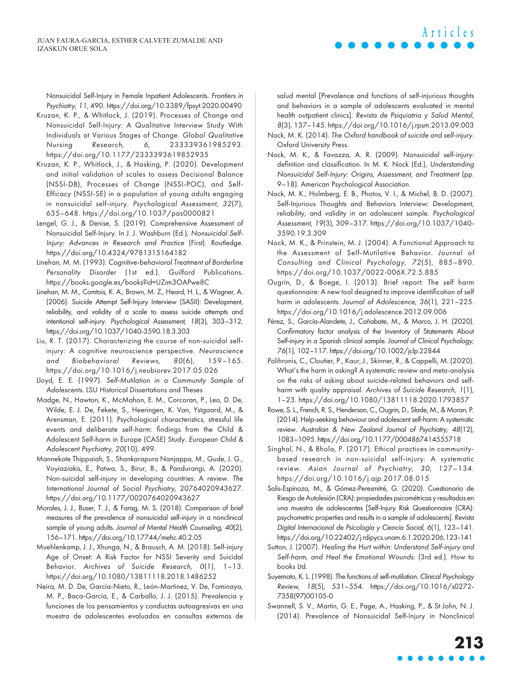Nonsuicidal Self-Injury in Female Inpatient Adolescents. Frontiers in Psychiatry, 11, 490.<https://doi.org/10.3389/fpsyt.2020.00490>

- Kruzan, K. P., & Whitlock, J. (2019). Processes of Change and Nonsuicidal Self-Injury: A Qualitative Interview Study With Individuals at Various Stages of Change. Global Qualitative Nursing Research, 6, 233339361985293. <https://doi.org/10.1177/2333393619852935>
- Kruzan, K. P., Whitlock, J., & Hasking, P. (2020). Development and initial validation of scales to assess Decisional Balance (NSSI-DB), Processes of Change (NSSI-POC), and Self-Efficacy (NSSI-SE) in a population of young adults engaging in nonsuicidal self-injury. Psychological Assessment, 32(7), 635–648. <https://doi.org/10.1037/pas0000821>
- Lengel, G. J., & Denise, S. (2019). Comprehensive Assessment of Nonsuicidal Self-Injury. In J. J. Washburn (Ed.), Nonsuicidal Self-Injury: Advances in Research and Practice (First). Routledge. <https://doi.org/10.4324/9781315164182>
- Linehan, M. M. (1993). Cognitive-behavioral Treatment of Borderline Personality Disorder (1st ed.). Guilford Publications. <https://books.google.es/books?id=UZim3OAPwe8C>
- Linehan, M. M., Comtois, K. A., Brown, M. Z., Heard, H. L., & Wagner, A. (2006). Suicide Attempt Self-Injury Interview (SASII): Development, reliability, and validity of a scale to assess suicide attempts and intentional self-injury. Psychological Assessment, 18(3), 303–312. <https://doi.org/10.1037/1040-3590.18.3.303>
- Liu, R. T. (2017). Characterizing the course of non-suicidal selfinjury: A cognitive neuroscience perspective. Neuroscience and Biobehavioral Reviews, 80(6), 159–165. <https://doi.org/10.1016/j.neubiorev.2017.05.026>
- Lloyd, E. E. (1997). Self-Mutilation in a Community Sample of Adolescents. LSU Historical Dissertations and Theses
- Madge, N., Hawton, K., McMahon, E. M., Corcoran, P., Leo, D. De, Wilde, E. J. De, Fekete, S., Heeringen, K. Van, Ystgaard, M., & Arensman, E. (2011). Psychological characteristics, stressful life events and deliberate self-harm: findings from the Child & Adolescent Self-harm in Europe (CASE) Study. European Child & Adolescent Psychiatry, 20(10), 499.
- Mannekote Thippaiah, S., Shankarapura Nanjappa, M., Gude, J. G., Voyiaziakis, E., Patwa, S., Birur, B., & Pandurangi, A. (2020). Non-suicidal self-injury in developing countries: A review. The International Journal of Social Psychiatry, 20764020943627. <https://doi.org/10.1177/0020764020943627>
- Morales, J. J., Buser, T. J., & Farag, M. S. (2018). Comparison of brief measures of the prevalence of nonsuicidal self-injury in a nonclinical sample of young adults. Journal of Mental Health Counseling, 40(2), 156–171.<https://doi.org/10.17744/mehc.40.2.05>
- Muehlenkamp, J. J., Xhunga, N., & Brausch, A. M. (2018). Self-injury Age of Onset: A Risk Factor for NSSI Severity and Suicidal Behavior. Archives of Suicide Research, 0(1), 1–13. <https://doi.org/10.1080/13811118.2018.1486252>
- Neira, M. D. De, García-Nieto, R., León-Martinez, V. De, Fominaya, M. P., Baca-García, E., & Carballo, J. J. (2015). Prevalencia y funciones de los pensamientos y conductas autoagresivas en una muestra de adolescentes evaluados en consultas externas de

salud mental [Prevalence and functions of self-injurious thoughts and behaviors in a sample of adolescents evaluated in mental health outpatient clinics]. Revista de Psiquiatria y Salud Mental, 8(3), 137–145.<https://doi.org/10.1016/j.rpsm.2013.09.003>

**Articles**

- Nock, M. K. (2014). The Oxford handbook of suicide and self-injury. Oxford University Press.
- Nock, M. K., & Favazza, A. R. (2009). Nonsuicidal self-injury: definition and classification. In M. K. Nock (Ed.), Understanding Nonsuicidal Self-Injury: Origins, Assessment, and Treatment (pp. 9–18). American Psychological Association.
- Nock, M. K., Holmberg, E. B., Photos, V. I., & Michel, B. D. (2007). Self-Injurious Thoughts and Behaviors Interview: Development, reliability, and validity in an adolescent sample. Psychological Assessment, 19(3), 309–317. [https://doi.org/10.1037/1040-](https://doi.org/10.1037/1040-3590.19.3.309) [3590.19.3.309](https://doi.org/10.1037/1040-3590.19.3.309)
- Nock, M. K., & Prinstein, M. J. (2004). A Functional Approach to the Assessment of Self-Mutilative Behavior. Journal of Consulting and Clinical Psychology, 72(5), 885–890. <https://doi.org/10.1037/0022-006X.72.5.885>
- Ougrin, D., & Boege, I. (2013). Brief report: The self harm questionnaire: A new tool designed to improve identification of self harm in adolescents. Journal of Adolescence, 36(1), 221-225. <https://doi.org/10.1016/j.adolescence.2012.09.006>
- Pérez, S., García‐Alandete, J., Cañabate, M., & Marco, J. H. (2020). Confirmatory factor analysis of the Inventory of Statements About Self-injury in a Spanish clinical sample. Journal of Clinical Psychology, 76(1), 102–117.<https://doi.org/10.1002/jclp.22844>
- Polihronis, C., Cloutier, P., Kaur, J., Skinner, R., & Cappelli, M. (2020). What's the harm in asking? A systematic review and meta-analysis on the risks of asking about suicide-related behaviors and selfharm with quality appraisal. Archives of Suicide Research, 1(1), 1–23.<https://doi.org/10.1080/13811118.2020.1793857>
- Rowe, S. L., French, R. S., Henderson, C., Ougrin, D., Slade, M., & Moran, P. (2014). Help-seeking behaviour and adolescent self-harm: A systematic review. Australian & New Zealand Journal of Psychiatry, 48(12), 1083–1095.<https://doi.org/10.1177/0004867414555718>
- Singhal, N., & Bhola, P. (2017). Ethical practices in communitybased research in non-suicidal self-injury: A systematic review. Asian Journal of Psychiatry, 30, 127–134. <https://doi.org/10.1016/j.ajp.2017.08.015>
- Solis-Espinoza, M., & Gómez-Peresmitré, G. (2020). Cuestionario de Riesgo de Autolesión (CRA): propiedades psicométricas y resultados en una muestra de adolescentes [Self-Injury Risk Questionnaire (CRA): psychometric properties and results in a sample of adolescents]. Revista Digital Internacional de Psicología y Ciencia Social, 6(1), 123–141. <https://doi.org/10.22402/j.rdipycs.unam.6.1.2020.206.123-141>
- Sutton, J. (2007). Healing the Hurt within: Understand Self‐injury and Self-harm, and Heal the Emotional Wounds. (3rd ed.). How to books Ltd.
- Suyemoto, K. L. (1998). The functions of self-mutilation. Clinical Psychology Review, 18(5), 531–554. [https://doi.org/10.1016/s0272-](https://doi.org/10.1016/s0272-7358(97)00105-0) [7358\(97\)00105-0](https://doi.org/10.1016/s0272-7358(97)00105-0)
- Swannell, S. V., Martin, G. E., Page, A., Hasking, P., & St John, N. J. (2014). Prevalence of Nonsuicidal Self-Injury in Nonclinical